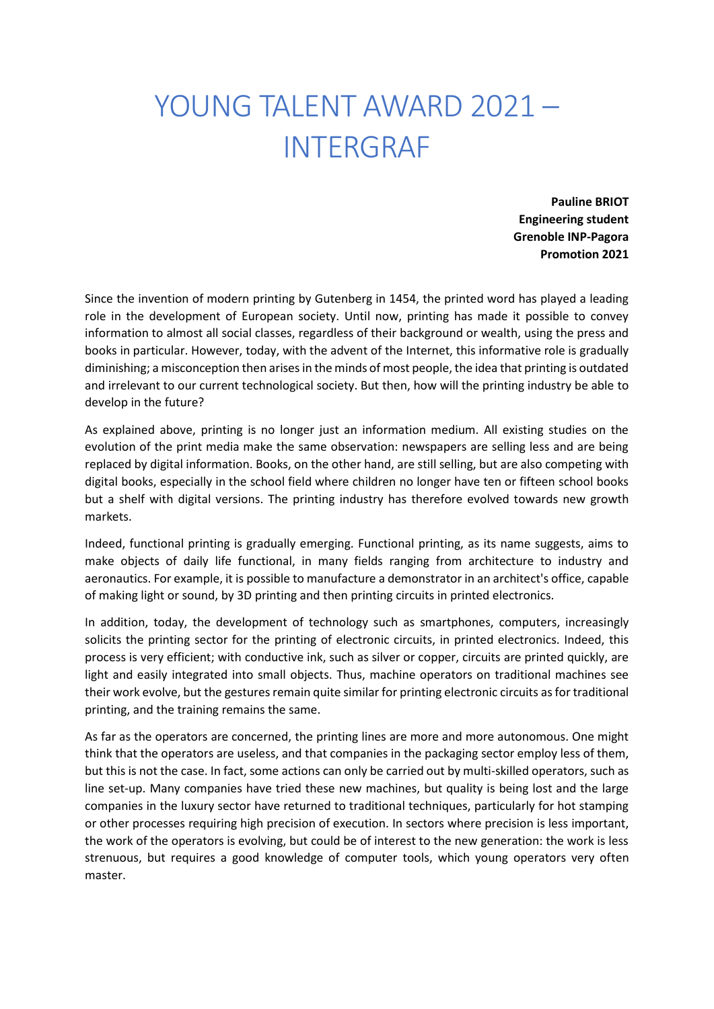## YOUNG TALENT AWARD 2021 – INTERGRAF

**Pauline BRIOT Engineering student Grenoble INP-Pagora Promotion 2021**

Since the invention of modern printing by Gutenberg in 1454, the printed word has played a leading role in the development of European society. Until now, printing has made it possible to convey information to almost all social classes, regardless of their background or wealth, using the press and books in particular. However, today, with the advent of the Internet, this informative role is gradually diminishing; a misconception then arises in the minds of most people, the idea that printing is outdated and irrelevant to our current technological society. But then, how will the printing industry be able to develop in the future?

As explained above, printing is no longer just an information medium. All existing studies on the evolution of the print media make the same observation: newspapers are selling less and are being replaced by digital information. Books, on the other hand, are still selling, but are also competing with digital books, especially in the school field where children no longer have ten or fifteen school books but a shelf with digital versions. The printing industry has therefore evolved towards new growth markets.

Indeed, functional printing is gradually emerging. Functional printing, as its name suggests, aims to make objects of daily life functional, in many fields ranging from architecture to industry and aeronautics. For example, it is possible to manufacture a demonstrator in an architect's office, capable of making light or sound, by 3D printing and then printing circuits in printed electronics.

In addition, today, the development of technology such as smartphones, computers, increasingly solicits the printing sector for the printing of electronic circuits, in printed electronics. Indeed, this process is very efficient; with conductive ink, such as silver or copper, circuits are printed quickly, are light and easily integrated into small objects. Thus, machine operators on traditional machines see their work evolve, but the gestures remain quite similar for printing electronic circuits as for traditional printing, and the training remains the same.

As far as the operators are concerned, the printing lines are more and more autonomous. One might think that the operators are useless, and that companies in the packaging sector employ less of them, but this is not the case. In fact, some actions can only be carried out by multi-skilled operators, such as line set-up. Many companies have tried these new machines, but quality is being lost and the large companies in the luxury sector have returned to traditional techniques, particularly for hot stamping or other processes requiring high precision of execution. In sectors where precision is less important, the work of the operators is evolving, but could be of interest to the new generation: the work is less strenuous, but requires a good knowledge of computer tools, which young operators very often master.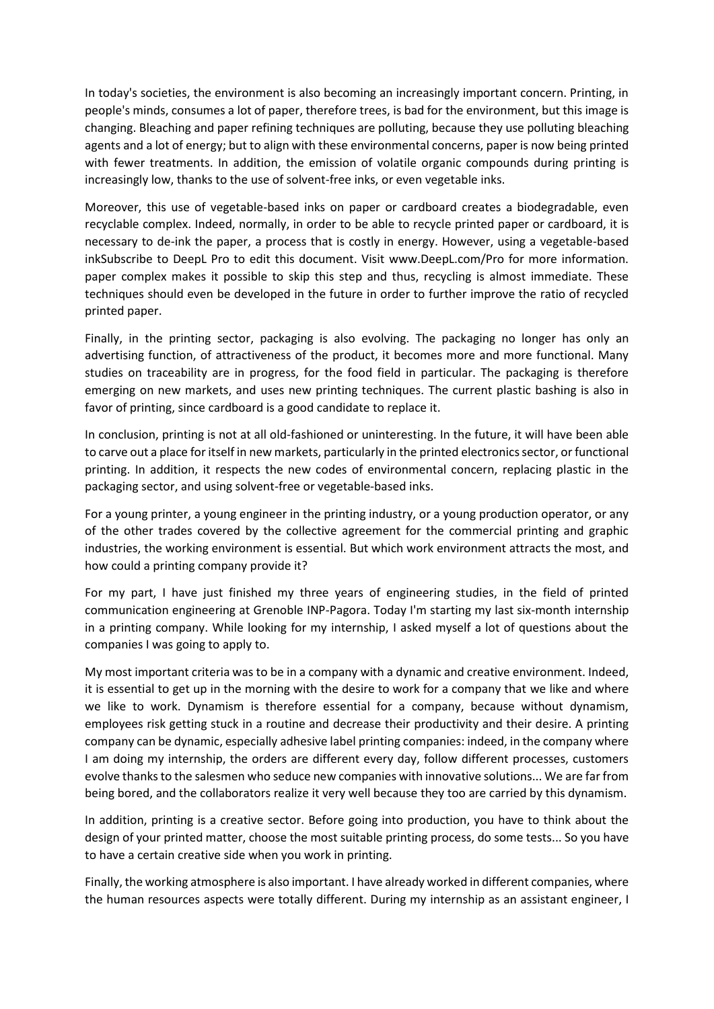In today's societies, the environment is also becoming an increasingly important concern. Printing, in people's minds, consumes a lot of paper, therefore trees, is bad for the environment, but this image is changing. Bleaching and paper refining techniques are polluting, because they use polluting bleaching agents and a lot of energy; but to align with these environmental concerns, paper is now being printed with fewer treatments. In addition, the emission of volatile organic compounds during printing is increasingly low, thanks to the use of solvent-free inks, or even vegetable inks.

Moreover, this use of vegetable-based inks on paper or cardboard creates a biodegradable, even recyclable complex. Indeed, normally, in order to be able to recycle printed paper or cardboard, it is necessary to de-ink the paper, a process that is costly in energy. However, using a vegetable-based inkSubscribe to DeepL Pro to edit this document. Visit www.DeepL.com/Pro for more information. paper complex makes it possible to skip this step and thus, recycling is almost immediate. These techniques should even be developed in the future in order to further improve the ratio of recycled printed paper.

Finally, in the printing sector, packaging is also evolving. The packaging no longer has only an advertising function, of attractiveness of the product, it becomes more and more functional. Many studies on traceability are in progress, for the food field in particular. The packaging is therefore emerging on new markets, and uses new printing techniques. The current plastic bashing is also in favor of printing, since cardboard is a good candidate to replace it.

In conclusion, printing is not at all old-fashioned or uninteresting. In the future, it will have been able to carve out a place for itself in new markets, particularly in the printed electronics sector, or functional printing. In addition, it respects the new codes of environmental concern, replacing plastic in the packaging sector, and using solvent-free or vegetable-based inks.

For a young printer, a young engineer in the printing industry, or a young production operator, or any of the other trades covered by the collective agreement for the commercial printing and graphic industries, the working environment is essential. But which work environment attracts the most, and how could a printing company provide it?

For my part, I have just finished my three years of engineering studies, in the field of printed communication engineering at Grenoble INP-Pagora. Today I'm starting my last six-month internship in a printing company. While looking for my internship, I asked myself a lot of questions about the companies I was going to apply to.

My most important criteria was to be in a company with a dynamic and creative environment. Indeed, it is essential to get up in the morning with the desire to work for a company that we like and where we like to work. Dynamism is therefore essential for a company, because without dynamism, employees risk getting stuck in a routine and decrease their productivity and their desire. A printing company can be dynamic, especially adhesive label printing companies: indeed, in the company where I am doing my internship, the orders are different every day, follow different processes, customers evolve thanks to the salesmen who seduce new companies with innovative solutions... We are far from being bored, and the collaborators realize it very well because they too are carried by this dynamism.

In addition, printing is a creative sector. Before going into production, you have to think about the design of your printed matter, choose the most suitable printing process, do some tests... So you have to have a certain creative side when you work in printing.

Finally, the working atmosphere is also important. I have already worked in different companies, where the human resources aspects were totally different. During my internship as an assistant engineer, I